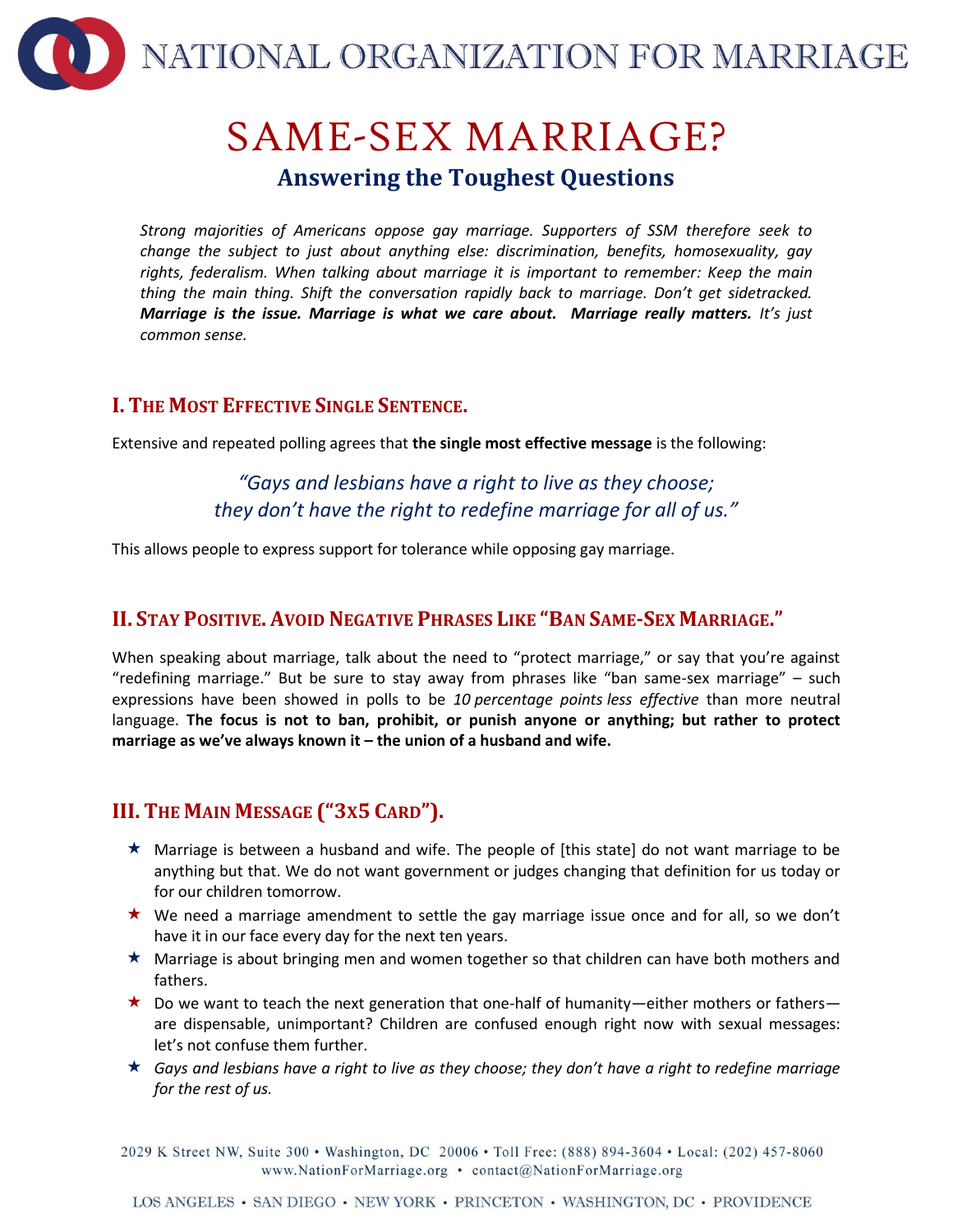

# SAME-SEX MARRIAGE? **Answering the Toughest Questions**

*Strong majorities of Americans oppose gay marriage. Supporters of SSM therefore seek to change the subject to just about anything else: discrimination, benefits, homosexuality, gay rights, federalism. When talking about marriage it is important to remember: Keep the main thing the main thing. Shift the conversation rapidly back to marriage. Don't get sidetracked. Marriage is the issue. Marriage is what we care about. Marriage really matters. It's just common sense.*

### **I. THE MOST EFFECTIVE SINGLE SENTENCE.**

Extensive and repeated polling agrees that **the single most effective message** is the following:

*"Gays and lesbians have a right to live as they choose; they don't have the right to redefine marriage for all of us."*

This allows people to express support for tolerance while opposing gay marriage.

## **II. STAY POSITIVE. AVOID NEGATIVE PHRASES LIKE "BAN SAME-SEX MARRIAGE."**

When speaking about marriage, talk about the need to "protect marriage," or say that you're against "redefining marriage." But be sure to stay away from phrases like "ban same-sex marriage" – such expressions have been showed in polls to be *10 percentage points less effective* than more neutral language. **The focus is not to ban, prohibit, or punish anyone or anything; but rather to protect marriage as we've always known it – the union of a husband and wife.**

# **III. THE MAIN MESSAGE ("3X5 CARD").**

- $\star$  Marriage is between a husband and wife. The people of [this state] do not want marriage to be anything but that. We do not want government or judges changing that definition for us today or for our children tomorrow.
- $\star$  We need a marriage amendment to settle the gay marriage issue once and for all, so we don't have it in our face every day for the next ten years.
- $\star$  Marriage is about bringing men and women together so that children can have both mothers and fathers.
- $\star$  Do we want to teach the next generation that one-half of humanity—either mothers or fathers are dispensable, unimportant? Children are confused enough right now with sexual messages: let's not confuse them further.
- *Gays and lesbians have a right to live as they choose; they don't have a right to redefine marriage for the rest of us.*

2029 K Street NW, Suite 300 · Washington, DC 20006 · Toll Free: (888) 894-3604 · Local: (202) 457-8060 www.NationForMarriage.org • contact@NationForMarriage.org